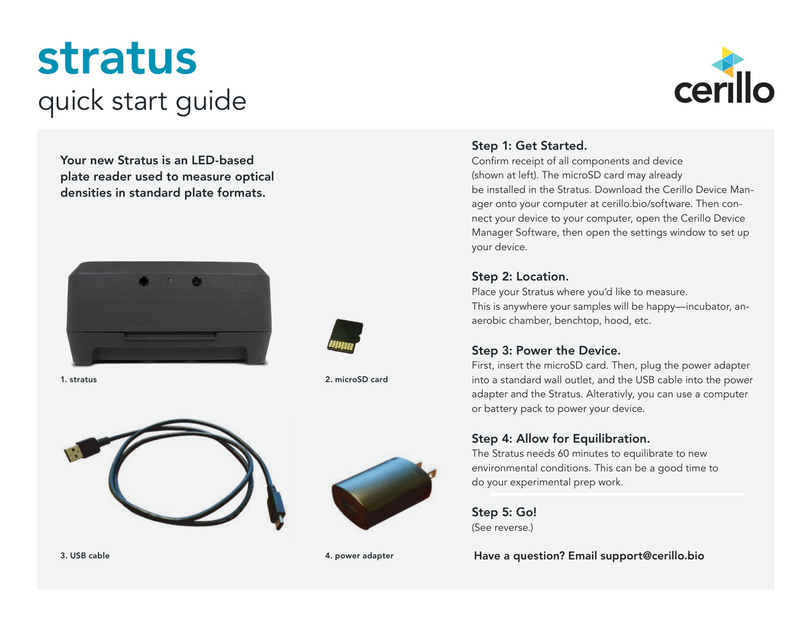# stratus quick start guide

Your new Stratus is an LED-based plate reader used to measure optical densities in standard plate formats.





1. stratus 2. microSD card





3. USB cable 4. power adapter



#### Step 1: Get Started.

Confirm receipt of all components and device (shown at left). The microSD card may already be installed in the Stratus. Download the Cerillo Device Manager onto your computer at cerillo.bio/software. Then connect your device to your computer, open the Cerillo Device Manager Software, then open the settings window to set up your device.

#### Step 2: Location.

Place your Stratus where you'd like to measure. This is anywhere your samples will be happy—incubator, anaerobic chamber, benchtop, hood, etc.

#### Step 3: Power the Device.

First, insert the microSD card. Then, plug the power adapter into a standard wall outlet, and the USB cable into the power adapter and the Stratus. Alterativly, you can use a computer or battery pack to power your device.

#### Step 4: Allow for Equilibration.

The Stratus needs 60 minutes to equilibrate to new environmental conditions. This can be a good time to do your experimental prep work.

Step 5: Go! (See reverse.)

Have a question? Email support@cerillo.bio